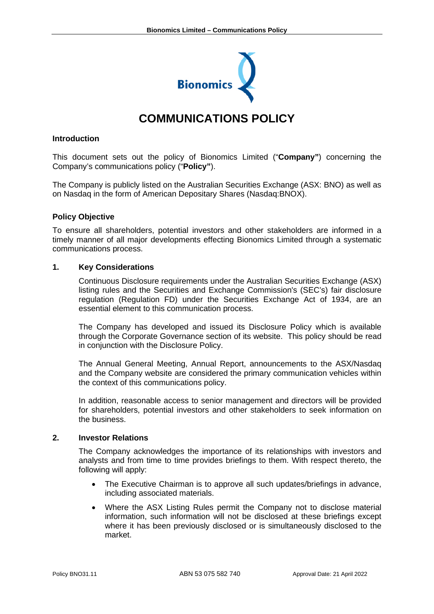

# **COMMUNICATIONS POLICY**

## **Introduction**

This document sets out the policy of Bionomics Limited ("**Company"**) concerning the Company's communications policy ("**Policy"**).

The Company is publicly listed on the Australian Securities Exchange (ASX: BNO) as well as on Nasdaq in the form of American Depositary Shares (Nasdaq:BNOX).

# **Policy Objective**

To ensure all shareholders, potential investors and other stakeholders are informed in a timely manner of all major developments effecting Bionomics Limited through a systematic communications process.

# **1. Key Considerations**

Continuous Disclosure requirements under the Australian Securities Exchange (ASX) listing rules and the Securities and Exchange Commission's (SEC's) fair disclosure regulation (Regulation FD) under the Securities Exchange Act of 1934, are an essential element to this communication process.

The Company has developed and issued its Disclosure Policy which is available through the Corporate Governance section of its website. This policy should be read in conjunction with the Disclosure Policy.

The Annual General Meeting, Annual Report, announcements to the ASX/Nasdaq and the Company website are considered the primary communication vehicles within the context of this communications policy.

In addition, reasonable access to senior management and directors will be provided for shareholders, potential investors and other stakeholders to seek information on the business.

## **2. Investor Relations**

The Company acknowledges the importance of its relationships with investors and analysts and from time to time provides briefings to them. With respect thereto, the following will apply:

- The Executive Chairman is to approve all such updates/briefings in advance, including associated materials.
- Where the ASX Listing Rules permit the Company not to disclose material information, such information will not be disclosed at these briefings except where it has been previously disclosed or is simultaneously disclosed to the market.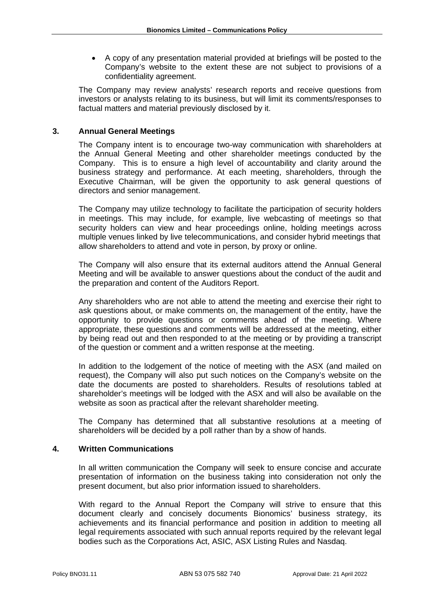A copy of any presentation material provided at briefings will be posted to the Company's website to the extent these are not subject to provisions of a confidentiality agreement.

The Company may review analysts' research reports and receive questions from investors or analysts relating to its business, but will limit its comments/responses to factual matters and material previously disclosed by it.

# **3. Annual General Meetings**

The Company intent is to encourage two-way communication with shareholders at the Annual General Meeting and other shareholder meetings conducted by the Company. This is to ensure a high level of accountability and clarity around the business strategy and performance. At each meeting, shareholders, through the Executive Chairman, will be given the opportunity to ask general questions of directors and senior management.

The Company may utilize technology to facilitate the participation of security holders in meetings. This may include, for example, live webcasting of meetings so that security holders can view and hear proceedings online, holding meetings across multiple venues linked by live telecommunications, and consider hybrid meetings that allow shareholders to attend and vote in person, by proxy or online.

The Company will also ensure that its external auditors attend the Annual General Meeting and will be available to answer questions about the conduct of the audit and the preparation and content of the Auditors Report.

Any shareholders who are not able to attend the meeting and exercise their right to ask questions about, or make comments on, the management of the entity, have the opportunity to provide questions or comments ahead of the meeting. Where appropriate, these questions and comments will be addressed at the meeting, either by being read out and then responded to at the meeting or by providing a transcript of the question or comment and a written response at the meeting.

In addition to the lodgement of the notice of meeting with the ASX (and mailed on request), the Company will also put such notices on the Company's website on the date the documents are posted to shareholders. Results of resolutions tabled at shareholder's meetings will be lodged with the ASX and will also be available on the website as soon as practical after the relevant shareholder meeting.

The Company has determined that all substantive resolutions at a meeting of shareholders will be decided by a poll rather than by a show of hands.

#### **4. Written Communications**

In all written communication the Company will seek to ensure concise and accurate presentation of information on the business taking into consideration not only the present document, but also prior information issued to shareholders.

With regard to the Annual Report the Company will strive to ensure that this document clearly and concisely documents Bionomics' business strategy, its achievements and its financial performance and position in addition to meeting all legal requirements associated with such annual reports required by the relevant legal bodies such as the Corporations Act, ASIC, ASX Listing Rules and Nasdaq.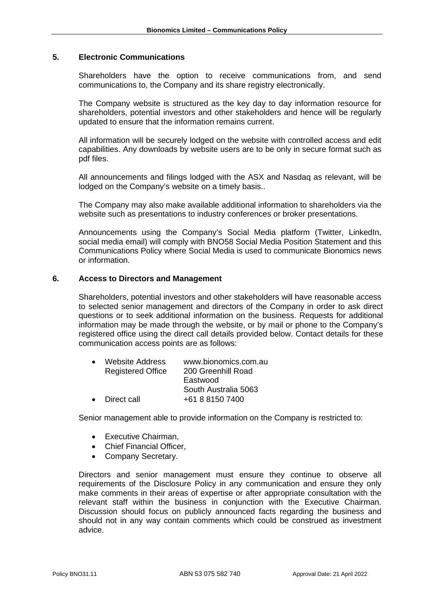# **5. Electronic Communications**

Shareholders have the option to receive communications from, and send communications to, the Company and its share registry electronically.

The Company website is structured as the key day to day information resource for shareholders, potential investors and other stakeholders and hence will be regularly updated to ensure that the information remains current.

All information will be securely lodged on the website with controlled access and edit capabilities. Any downloads by website users are to be only in secure format such as pdf files.

All announcements and filings lodged with the ASX and Nasdaq as relevant, will be lodged on the Company's website on a timely basis..

The Company may also make available additional information to shareholders via the website such as presentations to industry conferences or broker presentations.

Announcements using the Company's Social Media platform (Twitter, LinkedIn, social media email) will comply with BNO58 Social Media Position Statement and this Communications Policy where Social Media is used to communicate Bionomics news or information.

#### **6. Access to Directors and Management**

Shareholders, potential investors and other stakeholders will have reasonable access to selected senior management and directors of the Company in order to ask direct questions or to seek additional information on the business. Requests for additional information may be made through the website, or by mail or phone to the Company's registered office using the direct call details provided below. Contact details for these communication access points are as follows:

| <b>Website Address</b>   | www.bionomics.com.au |
|--------------------------|----------------------|
| <b>Registered Office</b> | 200 Greenhill Road   |
|                          | Eastwood             |
|                          | South Australia 5063 |
| Direct call              | +61 8 8150 7400      |
|                          |                      |

Senior management able to provide information on the Company is restricted to:

- Executive Chairman,
- Chief Financial Officer,
- Company Secretary.

Directors and senior management must ensure they continue to observe all requirements of the Disclosure Policy in any communication and ensure they only make comments in their areas of expertise or after appropriate consultation with the relevant staff within the business in conjunction with the Executive Chairman. Discussion should focus on publicly announced facts regarding the business and should not in any way contain comments which could be construed as investment advice.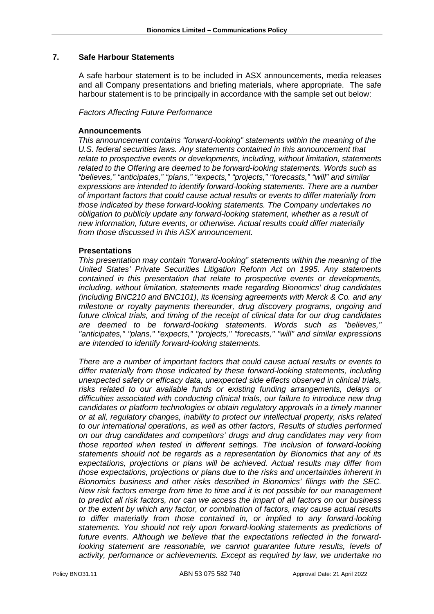# **7. Safe Harbour Statements**

A safe harbour statement is to be included in ASX announcements, media releases and all Company presentations and briefing materials, where appropriate. The safe harbour statement is to be principally in accordance with the sample set out below:

#### *Factors Affecting Future Performance*

# **Announcements**

*This announcement contains "forward-looking" statements within the meaning of the U.S. federal securities laws. Any statements contained in this announcement that relate to prospective events or developments, including, without limitation, statements related to the Offering are deemed to be forward-looking statements. Words such as "believes," "anticipates," "plans," "expects," "projects," "forecasts," "will" and similar expressions are intended to identify forward-looking statements. There are a number of important factors that could cause actual results or events to differ materially from those indicated by these forward-looking statements. The Company undertakes no obligation to publicly update any forward-looking statement, whether as a result of new information, future events, or otherwise. Actual results could differ materially from those discussed in this ASX announcement.* 

# **Presentations**

*This presentation may contain "forward-looking" statements within the meaning of the United States' Private Securities Litigation Reform Act on 1995. Any statements contained in this presentation that relate to prospective events or developments, including, without limitation, statements made regarding Bionomics' drug candidates (including BNC210 and BNC101), its licensing agreements with Merck & Co. and any milestone or royalty payments thereunder, drug discovery programs, ongoing and future clinical trials, and timing of the receipt of clinical data for our drug candidates are deemed to be forward-looking statements. Words such as "believes," "anticipates," "plans," "expects," "projects," "forecasts," "will" and similar expressions are intended to identify forward-looking statements.* 

*There are a number of important factors that could cause actual results or events to differ materially from those indicated by these forward-looking statements, including unexpected safety or efficacy data, unexpected side effects observed in clinical trials, risks related to our available funds or existing funding arrangements, delays or difficulties associated with conducting clinical trials, our failure to introduce new drug candidates or platform technologies or obtain regulatory approvals in a timely manner or at all, regulatory changes, inability to protect our intellectual property, risks related to our international operations, as well as other factors, Results of studies performed on our drug candidates and competitors' drugs and drug candidates may very from those reported when tested in different settings. The inclusion of forward-looking statements should not be regards as a representation by Bionomics that any of its expectations, projections or plans will be achieved. Actual results may differ from those expectations, projections or plans due to the risks and uncertainties inherent in Bionomics business and other risks described in Bionomics' filings with the SEC. New risk factors emerge from time to time and it is not possible for our management to predict all risk factors, nor can we access the impart of all factors on our business or the extent by which any factor, or combination of factors, may cause actual results to differ materially from those contained in, or implied to any forward-looking statements. You should not rely upon forward-looking statements as predictions of future events. Although we believe that the expectations reflected in the forwardlooking statement are reasonable, we cannot guarantee future results, levels of activity, performance or achievements. Except as required by law, we undertake no*